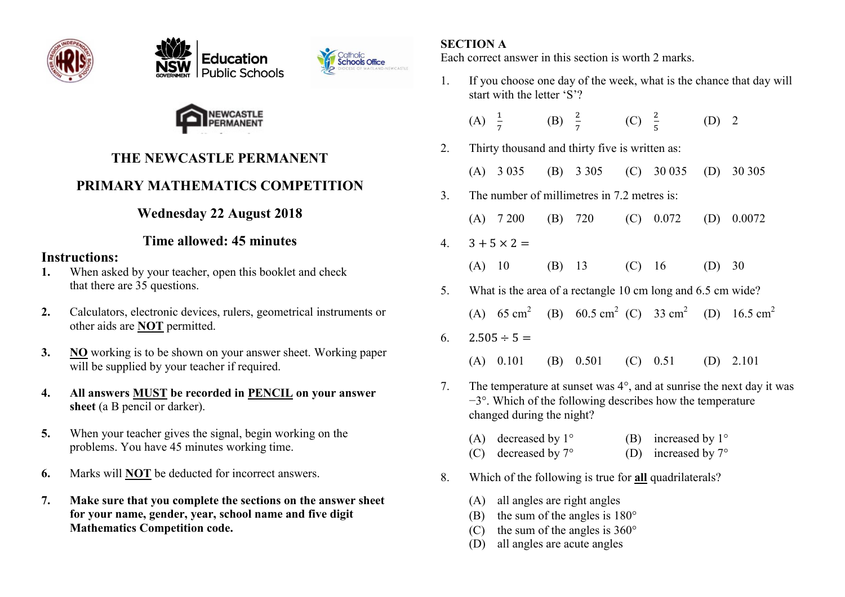







## **THE NEWCASTLE PERMANENT**

# **PRIMARY MATHEMATICS COMPETITION**

## **Wednesday 22 August 2018**

## **Time allowed: 45 minutes**

#### **Instructions:**

- **1.** When asked by your teacher, open this booklet and check that there are 35 questions.
- **2.** Calculators, electronic devices, rulers, geometrical instruments or other aids are **NOT** permitted.
- **3. NO** working is to be shown on your answer sheet. Working paper will be supplied by your teacher if required.
- **4. All answers MUST be recorded in PENCIL on your answer sheet** (a B pencil or darker).
- **5.** When your teacher gives the signal, begin working on the problems. You have 45 minutes working time.
- **6.** Marks will **NOT** be deducted for incorrect answers.
- **7. Make sure that you complete the sections on the answer sheet for your name, gender, year, school name and five digit Mathematics Competition code.**

## **SECTION A**

Each correct answer in this section is worth 2 marks.

1. If you choose one day of the week, what is the chance that day will start with the letter 'S'?

| (A) $\frac{1}{7}$ | (B) $\frac{2}{7}$ | (C) $\frac{2}{5}$ | $(D)$ 2 |
|-------------------|-------------------|-------------------|---------|
|-------------------|-------------------|-------------------|---------|

- 2. Thirty thousand and thirty five is written as:
	- (A) 3 035 (B) 3 305 (C) 30 035 (D) 30 305
- 3. The number of millimetres in 7.2 metres is:

(A) 7 200 (B) 720 (C) 0.072 (D) 0.0072

- $4.3 + 5 \times 2 =$ 
	- (A) 10 (B) 13 (C) 16 (D) 30
- 5. What is the area of a rectangle 10 cm long and 6.5 cm wide?

(A)  $65 \text{ cm}^2$  (B)  $60.5 \text{ cm}^2$  (C)  $33 \text{ cm}^2$  (D)  $16.5 \text{ cm}^2$ 

### 6.  $2.505 \div 5 =$

(A) 0.101 (B) 0.501 (C) 0.51 (D) 2.101

- 7. The temperature at sunset was  $4^\circ$ , and at sunrise the next day it was  $-3^\circ$ . Which of the following describes how the temperature changed during the night?
	- (A) decreased by  $1^{\circ}$  (B) increased by  $1^{\circ}$
	- (C) decreased by  $7^{\circ}$  (D) increased by  $7^{\circ}$
- 8. Which of the following is true for **all** quadrilaterals?
	- (A) all angles are right angles
	- (B) the sum of the angles is  $180^\circ$
	- (C) the sum of the angles is  $360^{\circ}$
	- (D) all angles are acute angles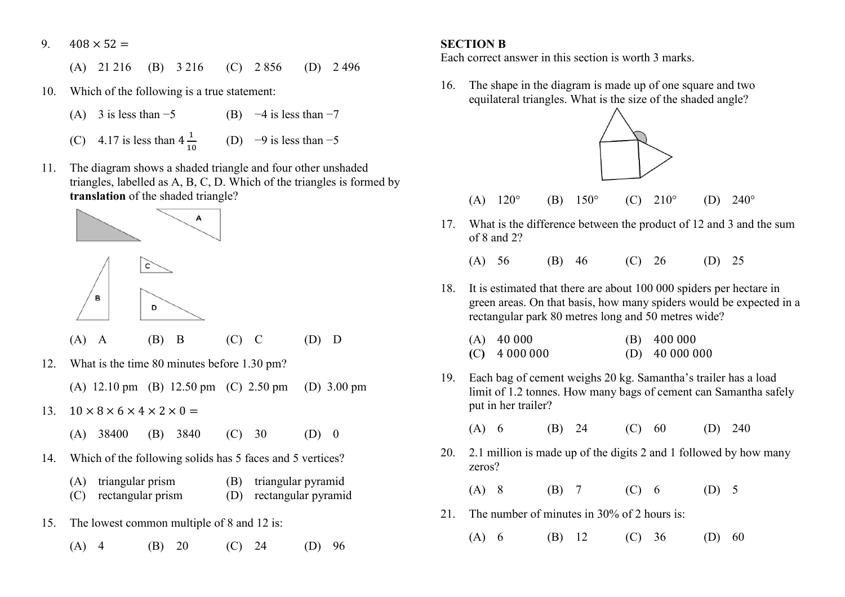9.  $408 \times 52 =$ 

(A) 21 216 (B) 3 216 (C) 2 856 (D) 2 496

- 10. Which of the following is a true statement:
	- (A) 3 is less than  $-5$  (B)  $-4$  is less than  $-7$
- (C) 4.17 is less than  $4\frac{1}{10}$ 10 (D)  $-9$  is less than  $-5$
- 11. The diagram shows a shaded triangle and four other unshaded triangles, labelled as A, B, C, D. Which of the triangles is formed by **translation** of the shaded triangle?



(A) A (B) B (C) C (D) D

- 12. What is the time 80 minutes before 1.30 pm?
	- (A) 12.10 pm (B) 12.50 pm (C) 2.50 pm (D) 3.00 pm
- 13.  $10 \times 8 \times 6 \times 4 \times 2 \times 0 =$ 
	- (A) 38400 (B) 3840 (C) 30 (D) 0
- 14. Which of the following solids has 5 faces and 5 vertices?
	- (A) triangular prism (B) triangular pyramid
	- (C) rectangular prism (D) rectangular pyramid
- 15. The lowest common multiple of 8 and 12 is:
	- (A) 4 (B) 20 (C) 24 (D) 96

#### **SECTION B**

Each correct answer in this section is worth 3 marks.

16. The shape in the diagram is made up of one square and two equilateral triangles. What is the size of the shaded angle?



(A)  $120^{\circ}$  (B)  $150^{\circ}$  (C)  $210^{\circ}$  (D)  $240^{\circ}$ 

17. What is the difference between the product of 12 and 3 and the sum of 8 and 2?

(A) 56 (B) 46 (C) 26 (D) 25

18. It is estimated that there are about 100 000 spiders per hectare in green areas. On that basis, how many spiders would be expected in a rectangular park 80 metres long and 50 metres wide?

| $(A)$ 40 000    | $(B)$ 400 000    |
|-----------------|------------------|
| $(C)$ 4 000 000 | $(D)$ 40 000 000 |

19. Each bag of cement weighs 20 kg. Samantha's trailer has a load limit of 1.2 tonnes. How many bags of cement can Samantha safely put in her trailer?

(A) 6 (B) 24 (C) 60 (D) 240

20. 2.1 million is made up of the digits 2 and 1 followed by how many zeros?

(A) 8 (B) 7 (C) 6 (D) 5

- 21. The number of minutes in 30% of 2 hours is:
	- (A) 6 (B) 12 (C) 36 (D) 60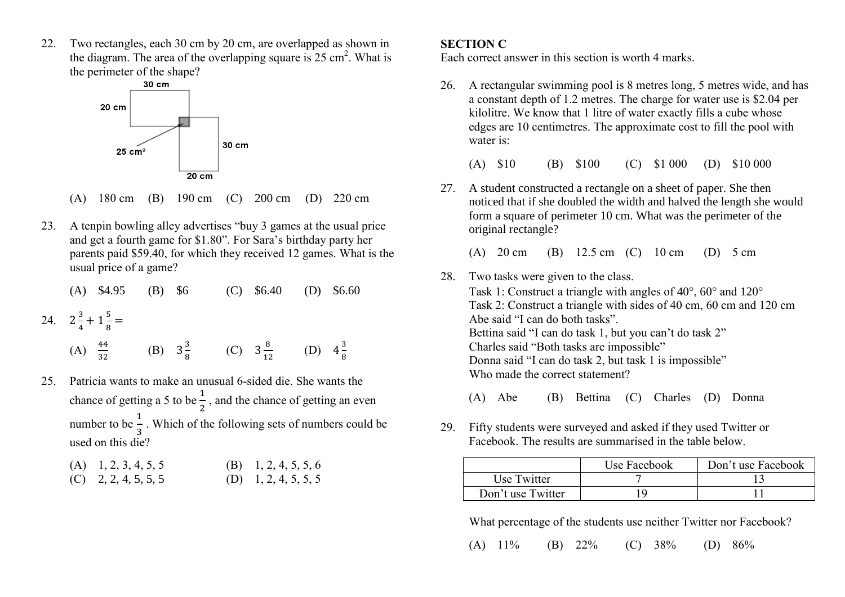22. Two rectangles, each 30 cm by 20 cm, are overlapped as shown in the diagram. The area of the overlapping square is  $25 \text{ cm}^2$ . What is the perimeter of the shape?



- (A) 180 cm (B) 190 cm (C) 200 cm (D) 220 cm
- 23. A tenpin bowling alley advertises "buy 3 games at the usual price and get a fourth game for \$1.80". For Sara's birthday party her parents paid \$59.40, for which they received 12 games. What is the usual price of a game?
	- (A) \$4.95 (B) \$6 (C) \$6.40 (D) \$6.60
- 24.  $2\frac{3}{4}$  $\frac{3}{4} + 1\frac{5}{8} =$

|  | (A) $\frac{44}{32}$ | (B) $3\frac{3}{8}$ (C) $3\frac{8}{12}$ (D) $4\frac{3}{8}$ |  |  |  |  |  |
|--|---------------------|-----------------------------------------------------------|--|--|--|--|--|
|--|---------------------|-----------------------------------------------------------|--|--|--|--|--|

25. Patricia wants to make an unusual 6-sided die. She wants the chance of getting a 5 to be  $\frac{1}{2}$ , and the chance of getting an even number to be  $\frac{1}{3}$ . Which of the following sets of numbers could be used on this die?

| $(A)$ 1, 2, 3, 4, 5, 5 | (B) 1, 2, 4, 5, 5, 6 |
|------------------------|----------------------|
| $(C)$ 2, 2, 4, 5, 5, 5 | (D) 1, 2, 4, 5, 5, 5 |

#### **SECTION C**

Each correct answer in this section is worth 4 marks.

26. A rectangular swimming pool is 8 metres long, 5 metres wide, and has a constant depth of 1.2 metres. The charge for water use is \$2.04 per kilolitre. We know that 1 litre of water exactly fills a cube whose edges are 10 centimetres. The approximate cost to fill the pool with water is:

|  |  | $(A)$ \$10 | $(B)$ \$100 | (C) $$1\,000$ (D) $$10\,000$ |  |  |
|--|--|------------|-------------|------------------------------|--|--|
|--|--|------------|-------------|------------------------------|--|--|

27. A student constructed a rectangle on a sheet of paper. She then noticed that if she doubled the width and halved the length she would form a square of perimeter 10 cm. What was the perimeter of the original rectangle?

(A) 20 cm (B) 12.5 cm (C) 10 cm (D) 5 cm

28. Two tasks were given to the class. Task 1: Construct a triangle with angles of  $40^{\circ}$ ,  $60^{\circ}$  and  $120^{\circ}$  Task 2: Construct a triangle with sides of 40 cm, 60 cm and 120 cm Abe said "I can do both tasks". Bettina said "I can do task 1, but you can't do task 2" Charles said "Both tasks are impossible" Donna said "I can do task 2, but task 1 is impossible" Who made the correct statement?

(A) Abe (B) Bettina (C) Charles (D) Donna

29. Fifty students were surveyed and asked if they used Twitter or Facebook. The results are summarised in the table below.

|                   | Use Facebook | Don't use Facebook |
|-------------------|--------------|--------------------|
| Use Twitter       |              |                    |
| Don't use Twitter |              |                    |

What percentage of the students use neither Twitter nor Facebook?

(A) 11% (B) 22% (C) 38% (D) 86%